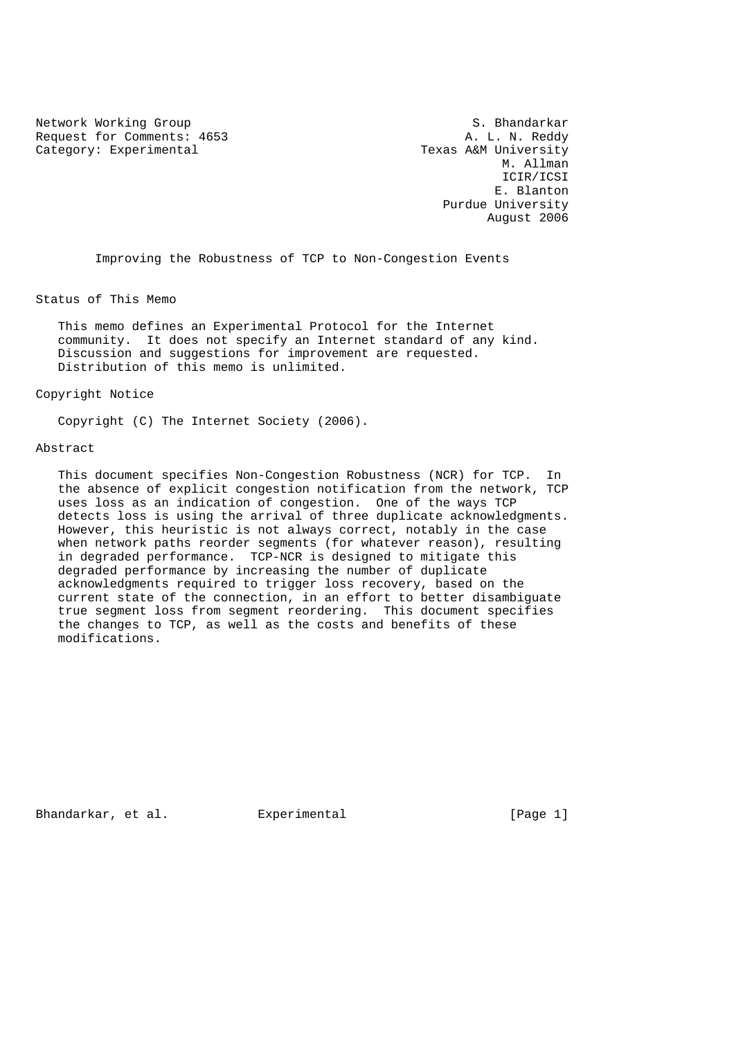Network Working Group 5. Bhandarkar<br>Request for Comments: 4653 A. L. N. Reddy Request for Comments: 4653 Category: Experimental Texas A&M University

 M. Allman ICIR/ICSI E. Blanton Purdue University August 2006

Improving the Robustness of TCP to Non-Congestion Events

Status of This Memo

 This memo defines an Experimental Protocol for the Internet community. It does not specify an Internet standard of any kind. Discussion and suggestions for improvement are requested. Distribution of this memo is unlimited.

Copyright Notice

Copyright (C) The Internet Society (2006).

### Abstract

 This document specifies Non-Congestion Robustness (NCR) for TCP. In the absence of explicit congestion notification from the network, TCP uses loss as an indication of congestion. One of the ways TCP detects loss is using the arrival of three duplicate acknowledgments. However, this heuristic is not always correct, notably in the case when network paths reorder segments (for whatever reason), resulting in degraded performance. TCP-NCR is designed to mitigate this degraded performance by increasing the number of duplicate acknowledgments required to trigger loss recovery, based on the current state of the connection, in an effort to better disambiguate true segment loss from segment reordering. This document specifies the changes to TCP, as well as the costs and benefits of these modifications.

Bhandarkar, et al. Experimental [Page 1]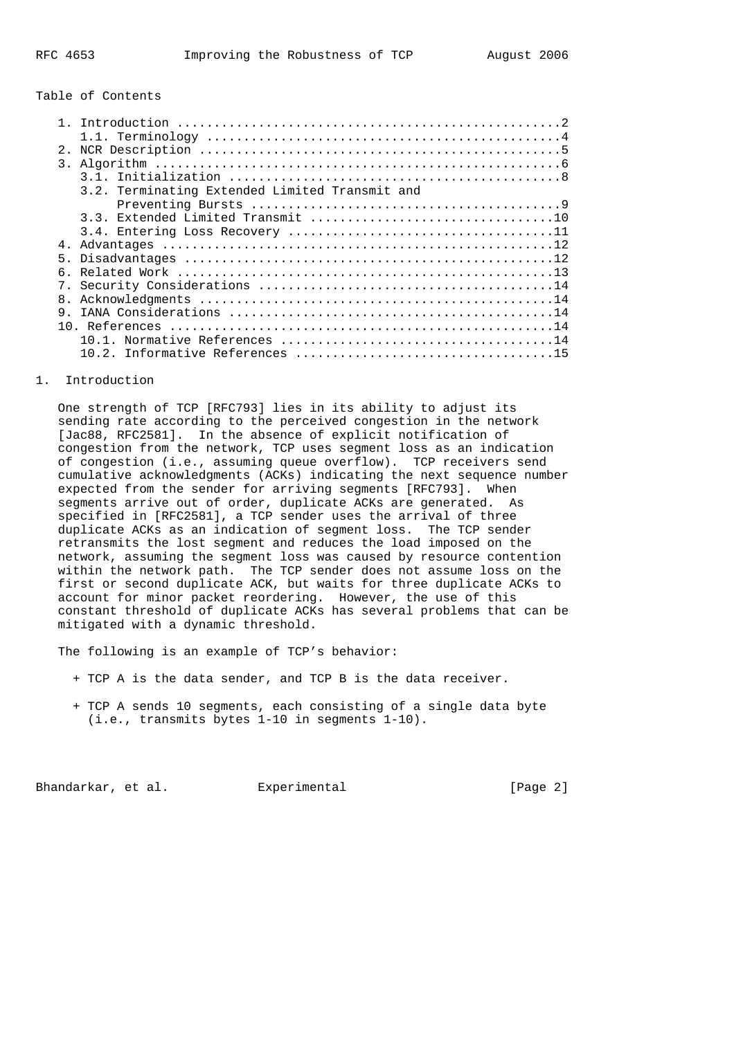## Table of Contents

| 2.1            |                                                |
|----------------|------------------------------------------------|
|                |                                                |
|                |                                                |
|                | 3.2. Terminating Extended Limited Transmit and |
|                |                                                |
|                |                                                |
|                |                                                |
| 4.             |                                                |
| 5              |                                                |
| 6.             |                                                |
|                |                                                |
| 8 <sub>1</sub> |                                                |
| 9              |                                                |
|                |                                                |
|                |                                                |
|                |                                                |
|                |                                                |

# 1. Introduction

 One strength of TCP [RFC793] lies in its ability to adjust its sending rate according to the perceived congestion in the network [Jac88, RFC2581]. In the absence of explicit notification of congestion from the network, TCP uses segment loss as an indication of congestion (i.e., assuming queue overflow). TCP receivers send cumulative acknowledgments (ACKs) indicating the next sequence number expected from the sender for arriving segments [RFC793]. When segments arrive out of order, duplicate ACKs are generated. As specified in [RFC2581], a TCP sender uses the arrival of three duplicate ACKs as an indication of segment loss. The TCP sender retransmits the lost segment and reduces the load imposed on the network, assuming the segment loss was caused by resource contention within the network path. The TCP sender does not assume loss on the first or second duplicate ACK, but waits for three duplicate ACKs to account for minor packet reordering. However, the use of this constant threshold of duplicate ACKs has several problems that can be mitigated with a dynamic threshold.

The following is an example of TCP's behavior:

- + TCP A is the data sender, and TCP B is the data receiver.
- + TCP A sends 10 segments, each consisting of a single data byte (i.e., transmits bytes 1-10 in segments 1-10).

Bhandarkar, et al. Experimental [Page 2]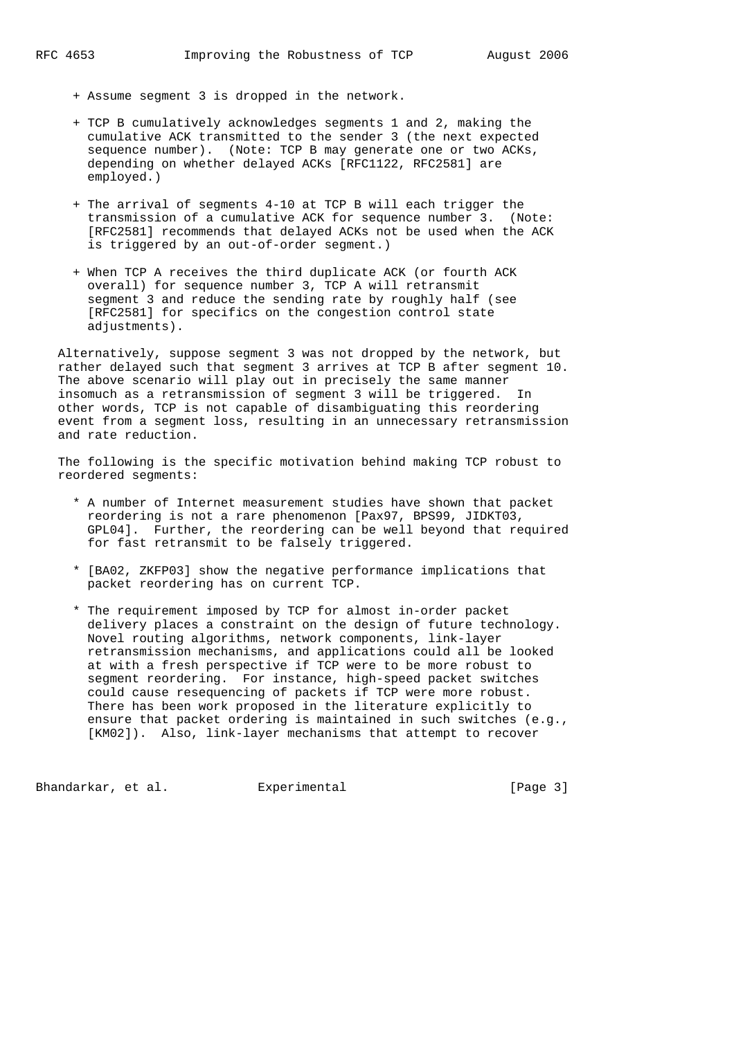- + Assume segment 3 is dropped in the network.
- + TCP B cumulatively acknowledges segments 1 and 2, making the cumulative ACK transmitted to the sender 3 (the next expected sequence number). (Note: TCP B may generate one or two ACKs, depending on whether delayed ACKs [RFC1122, RFC2581] are employed.)
- + The arrival of segments 4-10 at TCP B will each trigger the transmission of a cumulative ACK for sequence number 3. (Note: [RFC2581] recommends that delayed ACKs not be used when the ACK is triggered by an out-of-order segment.)
- + When TCP A receives the third duplicate ACK (or fourth ACK overall) for sequence number 3, TCP A will retransmit segment 3 and reduce the sending rate by roughly half (see [RFC2581] for specifics on the congestion control state adjustments).

 Alternatively, suppose segment 3 was not dropped by the network, but rather delayed such that segment 3 arrives at TCP B after segment 10. The above scenario will play out in precisely the same manner insomuch as a retransmission of segment 3 will be triggered. In other words, TCP is not capable of disambiguating this reordering event from a segment loss, resulting in an unnecessary retransmission and rate reduction.

 The following is the specific motivation behind making TCP robust to reordered segments:

- \* A number of Internet measurement studies have shown that packet reordering is not a rare phenomenon [Pax97, BPS99, JIDKT03, GPL04]. Further, the reordering can be well beyond that required for fast retransmit to be falsely triggered.
- \* [BA02, ZKFP03] show the negative performance implications that packet reordering has on current TCP.
- \* The requirement imposed by TCP for almost in-order packet delivery places a constraint on the design of future technology. Novel routing algorithms, network components, link-layer retransmission mechanisms, and applications could all be looked at with a fresh perspective if TCP were to be more robust to segment reordering. For instance, high-speed packet switches could cause resequencing of packets if TCP were more robust. There has been work proposed in the literature explicitly to ensure that packet ordering is maintained in such switches (e.g., [KM02]). Also, link-layer mechanisms that attempt to recover

Bhandarkar, et al. Experimental [Page 3]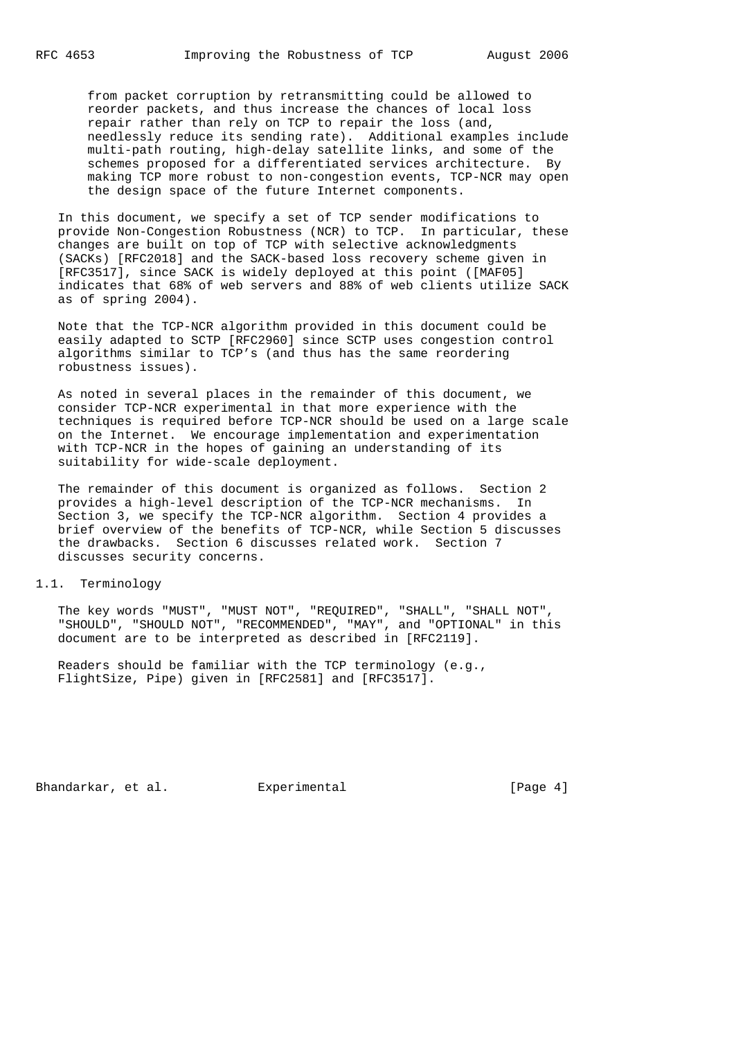from packet corruption by retransmitting could be allowed to reorder packets, and thus increase the chances of local loss repair rather than rely on TCP to repair the loss (and, needlessly reduce its sending rate). Additional examples include multi-path routing, high-delay satellite links, and some of the schemes proposed for a differentiated services architecture. By making TCP more robust to non-congestion events, TCP-NCR may open the design space of the future Internet components.

 In this document, we specify a set of TCP sender modifications to provide Non-Congestion Robustness (NCR) to TCP. In particular, these changes are built on top of TCP with selective acknowledgments (SACKs) [RFC2018] and the SACK-based loss recovery scheme given in [RFC3517], since SACK is widely deployed at this point ([MAF05] indicates that 68% of web servers and 88% of web clients utilize SACK as of spring 2004).

 Note that the TCP-NCR algorithm provided in this document could be easily adapted to SCTP [RFC2960] since SCTP uses congestion control algorithms similar to TCP's (and thus has the same reordering robustness issues).

 As noted in several places in the remainder of this document, we consider TCP-NCR experimental in that more experience with the techniques is required before TCP-NCR should be used on a large scale on the Internet. We encourage implementation and experimentation with TCP-NCR in the hopes of gaining an understanding of its suitability for wide-scale deployment.

 The remainder of this document is organized as follows. Section 2 provides a high-level description of the TCP-NCR mechanisms. In Section 3, we specify the TCP-NCR algorithm. Section 4 provides a brief overview of the benefits of TCP-NCR, while Section 5 discusses the drawbacks. Section 6 discusses related work. Section 7 discusses security concerns.

### 1.1. Terminology

 The key words "MUST", "MUST NOT", "REQUIRED", "SHALL", "SHALL NOT", "SHOULD", "SHOULD NOT", "RECOMMENDED", "MAY", and "OPTIONAL" in this document are to be interpreted as described in [RFC2119].

 Readers should be familiar with the TCP terminology (e.g., FlightSize, Pipe) given in [RFC2581] and [RFC3517].

Bhandarkar, et al. Experimental [Page 4]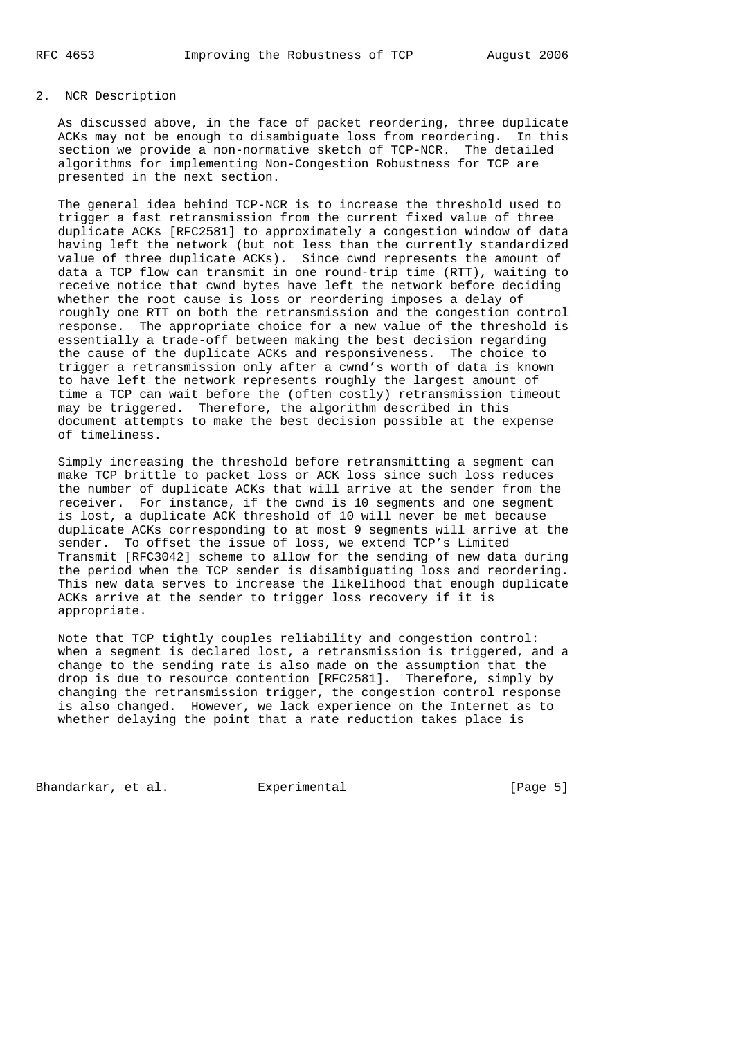# 2. NCR Description

 As discussed above, in the face of packet reordering, three duplicate ACKs may not be enough to disambiguate loss from reordering. In this section we provide a non-normative sketch of TCP-NCR. The detailed algorithms for implementing Non-Congestion Robustness for TCP are presented in the next section.

 The general idea behind TCP-NCR is to increase the threshold used to trigger a fast retransmission from the current fixed value of three duplicate ACKs [RFC2581] to approximately a congestion window of data having left the network (but not less than the currently standardized value of three duplicate ACKs). Since cwnd represents the amount of data a TCP flow can transmit in one round-trip time (RTT), waiting to receive notice that cwnd bytes have left the network before deciding whether the root cause is loss or reordering imposes a delay of roughly one RTT on both the retransmission and the congestion control response. The appropriate choice for a new value of the threshold is essentially a trade-off between making the best decision regarding the cause of the duplicate ACKs and responsiveness. The choice to trigger a retransmission only after a cwnd's worth of data is known to have left the network represents roughly the largest amount of time a TCP can wait before the (often costly) retransmission timeout may be triggered. Therefore, the algorithm described in this document attempts to make the best decision possible at the expense of timeliness.

 Simply increasing the threshold before retransmitting a segment can make TCP brittle to packet loss or ACK loss since such loss reduces the number of duplicate ACKs that will arrive at the sender from the receiver. For instance, if the cwnd is 10 segments and one segment is lost, a duplicate ACK threshold of 10 will never be met because duplicate ACKs corresponding to at most 9 segments will arrive at the sender. To offset the issue of loss, we extend TCP's Limited Transmit [RFC3042] scheme to allow for the sending of new data during the period when the TCP sender is disambiguating loss and reordering. This new data serves to increase the likelihood that enough duplicate ACKs arrive at the sender to trigger loss recovery if it is appropriate.

 Note that TCP tightly couples reliability and congestion control: when a segment is declared lost, a retransmission is triggered, and a change to the sending rate is also made on the assumption that the drop is due to resource contention [RFC2581]. Therefore, simply by changing the retransmission trigger, the congestion control response is also changed. However, we lack experience on the Internet as to whether delaying the point that a rate reduction takes place is

Bhandarkar, et al. Experimental [Page 5]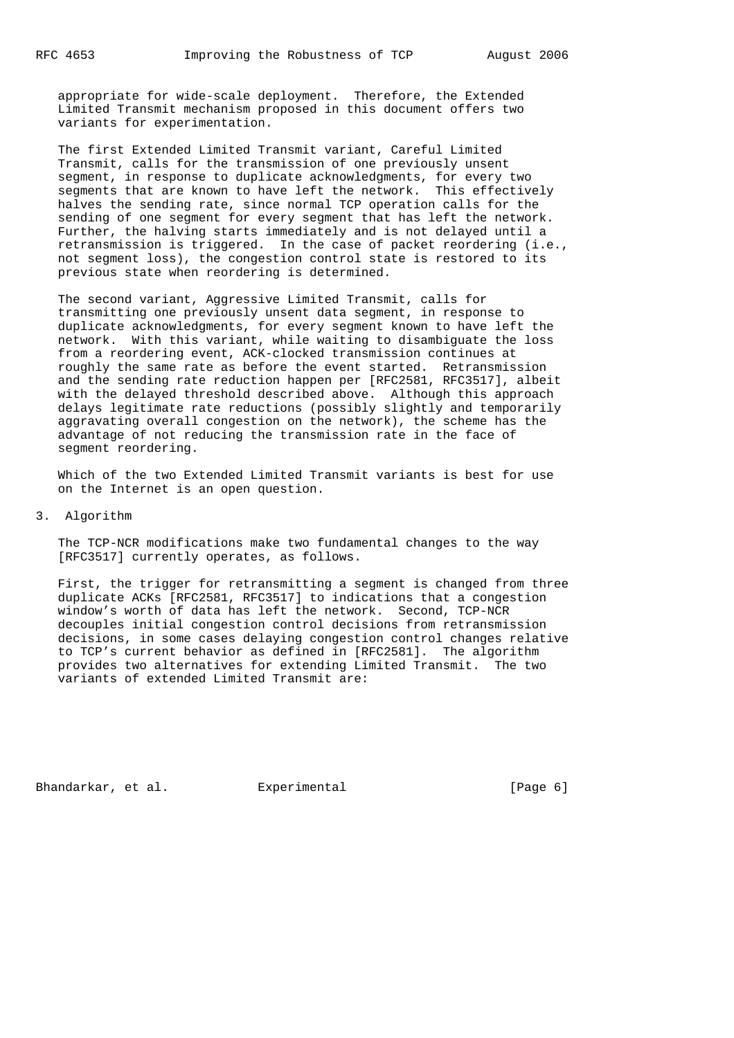appropriate for wide-scale deployment. Therefore, the Extended Limited Transmit mechanism proposed in this document offers two variants for experimentation.

 The first Extended Limited Transmit variant, Careful Limited Transmit, calls for the transmission of one previously unsent segment, in response to duplicate acknowledgments, for every two segments that are known to have left the network. This effectively halves the sending rate, since normal TCP operation calls for the sending of one segment for every segment that has left the network. Further, the halving starts immediately and is not delayed until a retransmission is triggered. In the case of packet reordering (i.e., not segment loss), the congestion control state is restored to its previous state when reordering is determined.

 The second variant, Aggressive Limited Transmit, calls for transmitting one previously unsent data segment, in response to duplicate acknowledgments, for every segment known to have left the network. With this variant, while waiting to disambiguate the loss from a reordering event, ACK-clocked transmission continues at roughly the same rate as before the event started. Retransmission and the sending rate reduction happen per [RFC2581, RFC3517], albeit with the delayed threshold described above. Although this approach delays legitimate rate reductions (possibly slightly and temporarily aggravating overall congestion on the network), the scheme has the advantage of not reducing the transmission rate in the face of segment reordering.

 Which of the two Extended Limited Transmit variants is best for use on the Internet is an open question.

### 3. Algorithm

 The TCP-NCR modifications make two fundamental changes to the way [RFC3517] currently operates, as follows.

 First, the trigger for retransmitting a segment is changed from three duplicate ACKs [RFC2581, RFC3517] to indications that a congestion window's worth of data has left the network. Second, TCP-NCR decouples initial congestion control decisions from retransmission decisions, in some cases delaying congestion control changes relative to TCP's current behavior as defined in [RFC2581]. The algorithm provides two alternatives for extending Limited Transmit. The two variants of extended Limited Transmit are:

Bhandarkar, et al. Experimental (Page 6)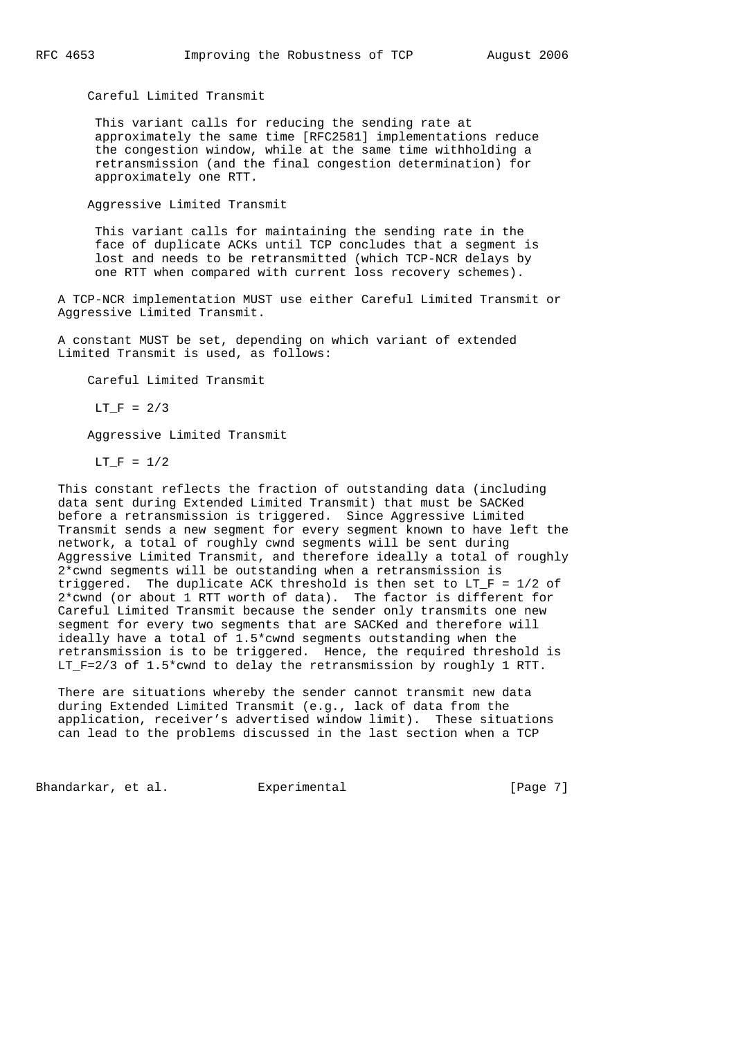Careful Limited Transmit

 This variant calls for reducing the sending rate at approximately the same time [RFC2581] implementations reduce the congestion window, while at the same time withholding a retransmission (and the final congestion determination) for approximately one RTT.

Aggressive Limited Transmit

 This variant calls for maintaining the sending rate in the face of duplicate ACKs until TCP concludes that a segment is lost and needs to be retransmitted (which TCP-NCR delays by one RTT when compared with current loss recovery schemes).

 A TCP-NCR implementation MUST use either Careful Limited Transmit or Aggressive Limited Transmit.

 A constant MUST be set, depending on which variant of extended Limited Transmit is used, as follows:

Careful Limited Transmit

 $LT$  F = 2/3

Aggressive Limited Transmit

 $LT_F = 1/2$ 

 This constant reflects the fraction of outstanding data (including data sent during Extended Limited Transmit) that must be SACKed before a retransmission is triggered. Since Aggressive Limited Transmit sends a new segment for every segment known to have left the network, a total of roughly cwnd segments will be sent during Aggressive Limited Transmit, and therefore ideally a total of roughly 2\*cwnd segments will be outstanding when a retransmission is triggered. The duplicate ACK threshold is then set to  $LT_F = 1/2$  of 2\*cwnd (or about 1 RTT worth of data). The factor is different for Careful Limited Transmit because the sender only transmits one new segment for every two segments that are SACKed and therefore will ideally have a total of 1.5\*cwnd segments outstanding when the retransmission is to be triggered. Hence, the required threshold is LT\_F=2/3 of 1.5\*cwnd to delay the retransmission by roughly 1 RTT.

 There are situations whereby the sender cannot transmit new data during Extended Limited Transmit (e.g., lack of data from the application, receiver's advertised window limit). These situations can lead to the problems discussed in the last section when a TCP

Bhandarkar, et al. Experimental [Page 7]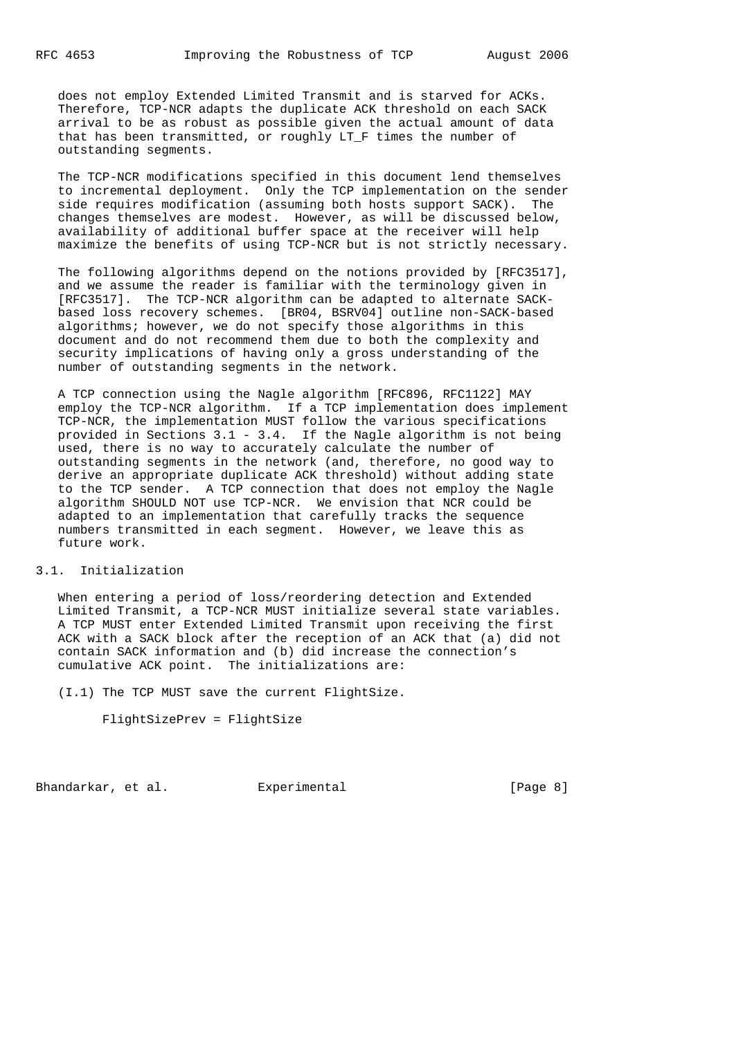does not employ Extended Limited Transmit and is starved for ACKs. Therefore, TCP-NCR adapts the duplicate ACK threshold on each SACK arrival to be as robust as possible given the actual amount of data that has been transmitted, or roughly LT\_F times the number of outstanding segments.

 The TCP-NCR modifications specified in this document lend themselves to incremental deployment. Only the TCP implementation on the sender side requires modification (assuming both hosts support SACK). The changes themselves are modest. However, as will be discussed below, availability of additional buffer space at the receiver will help maximize the benefits of using TCP-NCR but is not strictly necessary.

 The following algorithms depend on the notions provided by [RFC3517], and we assume the reader is familiar with the terminology given in [RFC3517]. The TCP-NCR algorithm can be adapted to alternate SACK based loss recovery schemes. [BR04, BSRV04] outline non-SACK-based algorithms; however, we do not specify those algorithms in this document and do not recommend them due to both the complexity and security implications of having only a gross understanding of the number of outstanding segments in the network.

 A TCP connection using the Nagle algorithm [RFC896, RFC1122] MAY employ the TCP-NCR algorithm. If a TCP implementation does implement TCP-NCR, the implementation MUST follow the various specifications provided in Sections 3.1 - 3.4. If the Nagle algorithm is not being used, there is no way to accurately calculate the number of outstanding segments in the network (and, therefore, no good way to derive an appropriate duplicate ACK threshold) without adding state to the TCP sender. A TCP connection that does not employ the Nagle algorithm SHOULD NOT use TCP-NCR. We envision that NCR could be adapted to an implementation that carefully tracks the sequence numbers transmitted in each segment. However, we leave this as future work.

## 3.1. Initialization

 When entering a period of loss/reordering detection and Extended Limited Transmit, a TCP-NCR MUST initialize several state variables. A TCP MUST enter Extended Limited Transmit upon receiving the first ACK with a SACK block after the reception of an ACK that (a) did not contain SACK information and (b) did increase the connection's cumulative ACK point. The initializations are:

(I.1) The TCP MUST save the current FlightSize.

FlightSizePrev = FlightSize

Bhandarkar, et al. Experimental [Page 8]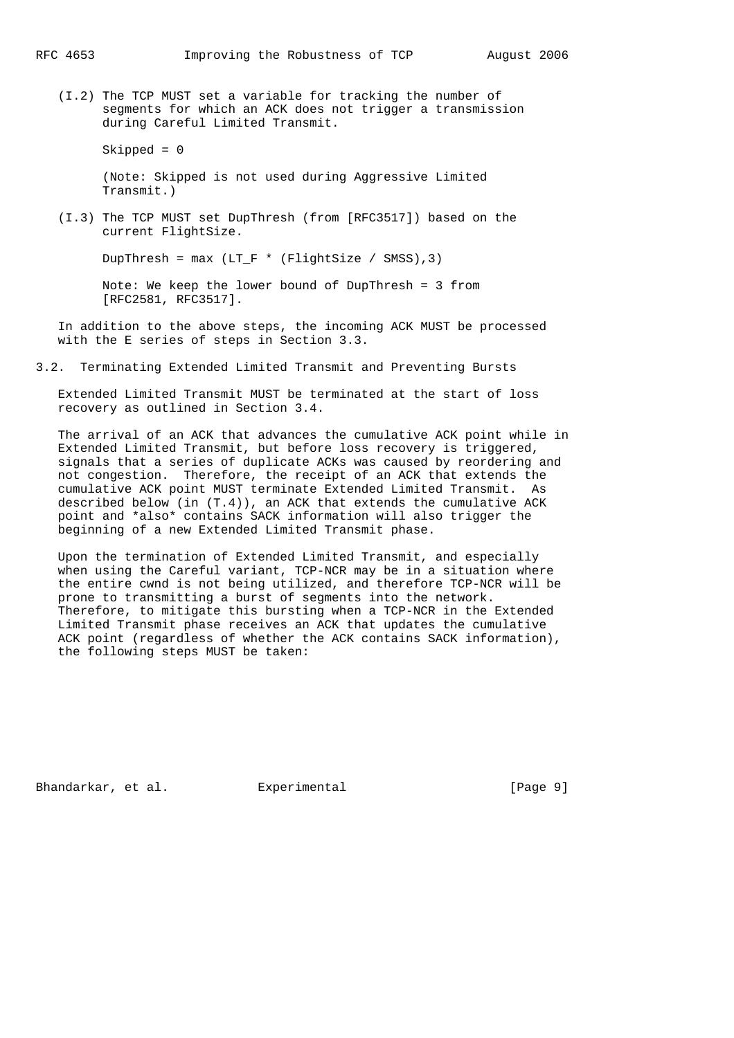(I.2) The TCP MUST set a variable for tracking the number of segments for which an ACK does not trigger a transmission during Careful Limited Transmit.

```
 Skipped = 0
```
 (Note: Skipped is not used during Aggressive Limited Transmit.)

 (I.3) The TCP MUST set DupThresh (from [RFC3517]) based on the current FlightSize.

DupThresh =  $max (LT_F * (FlightSize / SMS), 3)$ 

 Note: We keep the lower bound of DupThresh = 3 from [RFC2581, RFC3517].

 In addition to the above steps, the incoming ACK MUST be processed with the E series of steps in Section 3.3.

3.2. Terminating Extended Limited Transmit and Preventing Bursts

 Extended Limited Transmit MUST be terminated at the start of loss recovery as outlined in Section 3.4.

 The arrival of an ACK that advances the cumulative ACK point while in Extended Limited Transmit, but before loss recovery is triggered, signals that a series of duplicate ACKs was caused by reordering and not congestion. Therefore, the receipt of an ACK that extends the cumulative ACK point MUST terminate Extended Limited Transmit. As described below (in  $(T.4)$ ), an ACK that extends the cumulative ACK point and \*also\* contains SACK information will also trigger the beginning of a new Extended Limited Transmit phase.

 Upon the termination of Extended Limited Transmit, and especially when using the Careful variant, TCP-NCR may be in a situation where the entire cwnd is not being utilized, and therefore TCP-NCR will be prone to transmitting a burst of segments into the network. Therefore, to mitigate this bursting when a TCP-NCR in the Extended Limited Transmit phase receives an ACK that updates the cumulative ACK point (regardless of whether the ACK contains SACK information), the following steps MUST be taken:

Bhandarkar, et al. Experimental [Page 9]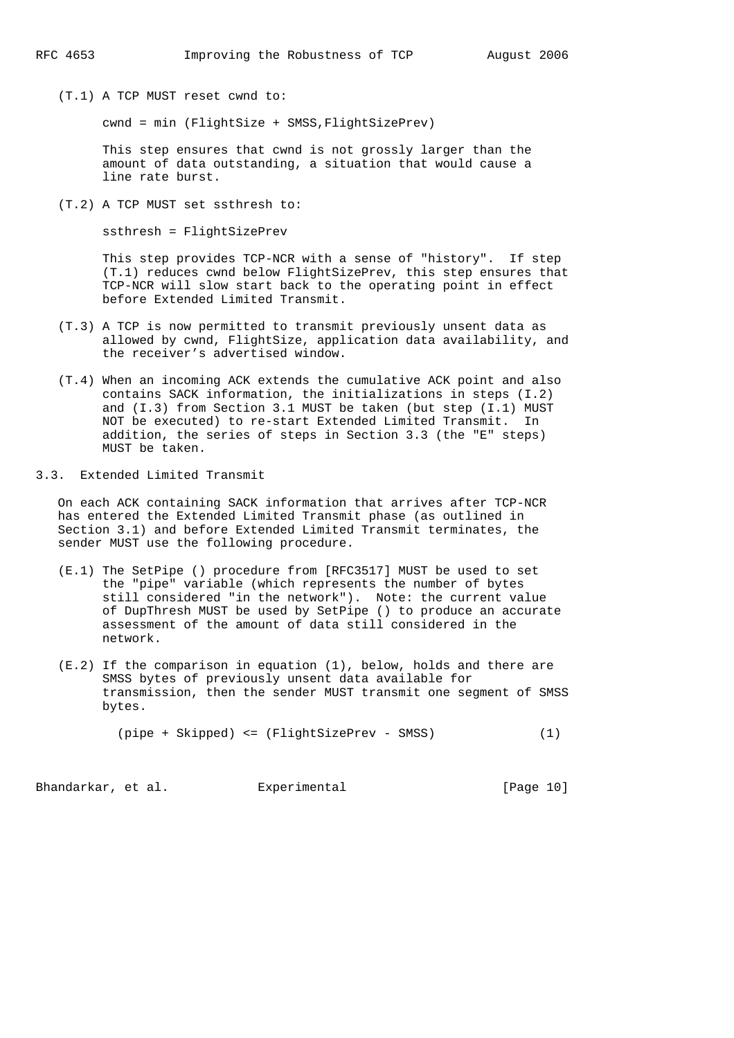(T.1) A TCP MUST reset cwnd to:

cwnd = min (FlightSize + SMSS,FlightSizePrev)

 This step ensures that cwnd is not grossly larger than the amount of data outstanding, a situation that would cause a line rate burst.

(T.2) A TCP MUST set ssthresh to:

ssthresh = FlightSizePrev

 This step provides TCP-NCR with a sense of "history". If step (T.1) reduces cwnd below FlightSizePrev, this step ensures that TCP-NCR will slow start back to the operating point in effect before Extended Limited Transmit.

- (T.3) A TCP is now permitted to transmit previously unsent data as allowed by cwnd, FlightSize, application data availability, and the receiver's advertised window.
- (T.4) When an incoming ACK extends the cumulative ACK point and also contains SACK information, the initializations in steps (I.2) and (I.3) from Section 3.1 MUST be taken (but step (I.1) MUST NOT be executed) to re-start Extended Limited Transmit. In addition, the series of steps in Section 3.3 (the "E" steps) MUST be taken.

3.3. Extended Limited Transmit

 On each ACK containing SACK information that arrives after TCP-NCR has entered the Extended Limited Transmit phase (as outlined in Section 3.1) and before Extended Limited Transmit terminates, the sender MUST use the following procedure.

- (E.1) The SetPipe () procedure from [RFC3517] MUST be used to set the "pipe" variable (which represents the number of bytes still considered "in the network"). Note: the current value of DupThresh MUST be used by SetPipe () to produce an accurate assessment of the amount of data still considered in the network.
- (E.2) If the comparison in equation (1), below, holds and there are SMSS bytes of previously unsent data available for transmission, then the sender MUST transmit one segment of SMSS bytes.

(pipe + Skipped) <= (FlightSizePrev - SMSS) (1)

Bhandarkar, et al. Experimental [Page 10]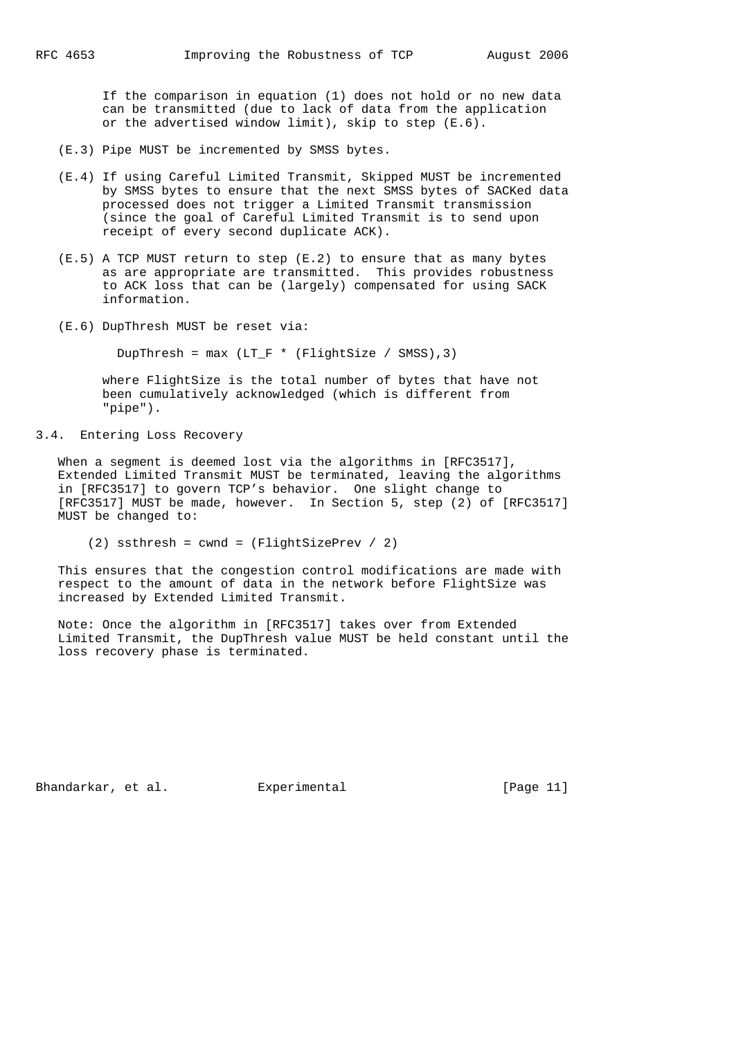If the comparison in equation (1) does not hold or no new data can be transmitted (due to lack of data from the application or the advertised window limit), skip to step (E.6).

- (E.3) Pipe MUST be incremented by SMSS bytes.
- (E.4) If using Careful Limited Transmit, Skipped MUST be incremented by SMSS bytes to ensure that the next SMSS bytes of SACKed data processed does not trigger a Limited Transmit transmission (since the goal of Careful Limited Transmit is to send upon receipt of every second duplicate ACK).
- (E.5) A TCP MUST return to step (E.2) to ensure that as many bytes as are appropriate are transmitted. This provides robustness to ACK loss that can be (largely) compensated for using SACK information.
- (E.6) DupThresh MUST be reset via:

DupThresh =  $max (LT_F * (FlightSize / SMS), 3)$ 

 where FlightSize is the total number of bytes that have not been cumulatively acknowledged (which is different from "pipe").

3.4. Entering Loss Recovery

When a segment is deemed lost via the algorithms in [RFC3517], Extended Limited Transmit MUST be terminated, leaving the algorithms in [RFC3517] to govern TCP's behavior. One slight change to [RFC3517] MUST be made, however. In Section 5, step (2) of [RFC3517] MUST be changed to:

(2) ssthresh = cwnd = (FlightSizePrev / 2)

 This ensures that the congestion control modifications are made with respect to the amount of data in the network before FlightSize was increased by Extended Limited Transmit.

 Note: Once the algorithm in [RFC3517] takes over from Extended Limited Transmit, the DupThresh value MUST be held constant until the loss recovery phase is terminated.

Bhandarkar, et al. Experimental [Page 11]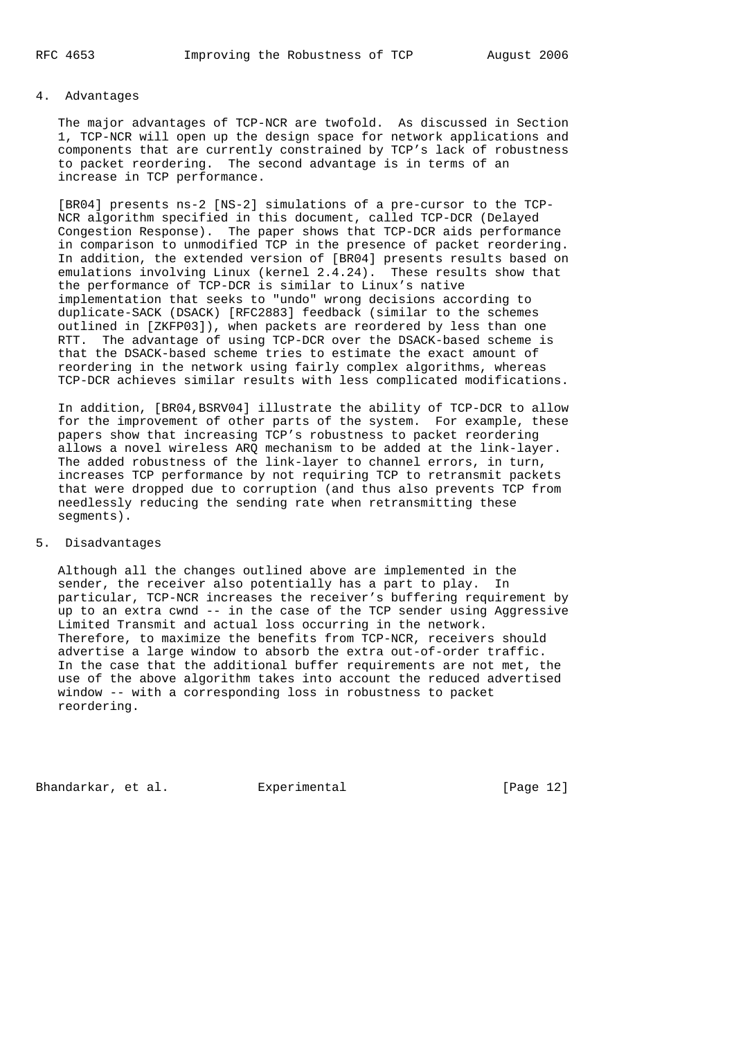# 4. Advantages

 The major advantages of TCP-NCR are twofold. As discussed in Section 1, TCP-NCR will open up the design space for network applications and components that are currently constrained by TCP's lack of robustness to packet reordering. The second advantage is in terms of an increase in TCP performance.

 [BR04] presents ns-2 [NS-2] simulations of a pre-cursor to the TCP- NCR algorithm specified in this document, called TCP-DCR (Delayed Congestion Response). The paper shows that TCP-DCR aids performance in comparison to unmodified TCP in the presence of packet reordering. In addition, the extended version of [BR04] presents results based on emulations involving Linux (kernel 2.4.24). These results show that the performance of TCP-DCR is similar to Linux's native implementation that seeks to "undo" wrong decisions according to duplicate-SACK (DSACK) [RFC2883] feedback (similar to the schemes outlined in [ZKFP03]), when packets are reordered by less than one RTT. The advantage of using TCP-DCR over the DSACK-based scheme is that the DSACK-based scheme tries to estimate the exact amount of reordering in the network using fairly complex algorithms, whereas TCP-DCR achieves similar results with less complicated modifications.

 In addition, [BR04,BSRV04] illustrate the ability of TCP-DCR to allow for the improvement of other parts of the system. For example, these papers show that increasing TCP's robustness to packet reordering allows a novel wireless ARQ mechanism to be added at the link-layer. The added robustness of the link-layer to channel errors, in turn, increases TCP performance by not requiring TCP to retransmit packets that were dropped due to corruption (and thus also prevents TCP from needlessly reducing the sending rate when retransmitting these segments).

# 5. Disadvantages

 Although all the changes outlined above are implemented in the sender, the receiver also potentially has a part to play. In particular, TCP-NCR increases the receiver's buffering requirement by up to an extra cwnd -- in the case of the TCP sender using Aggressive Limited Transmit and actual loss occurring in the network. Therefore, to maximize the benefits from TCP-NCR, receivers should advertise a large window to absorb the extra out-of-order traffic. In the case that the additional buffer requirements are not met, the use of the above algorithm takes into account the reduced advertised window -- with a corresponding loss in robustness to packet reordering.

Bhandarkar, et al. Experimental [Page 12]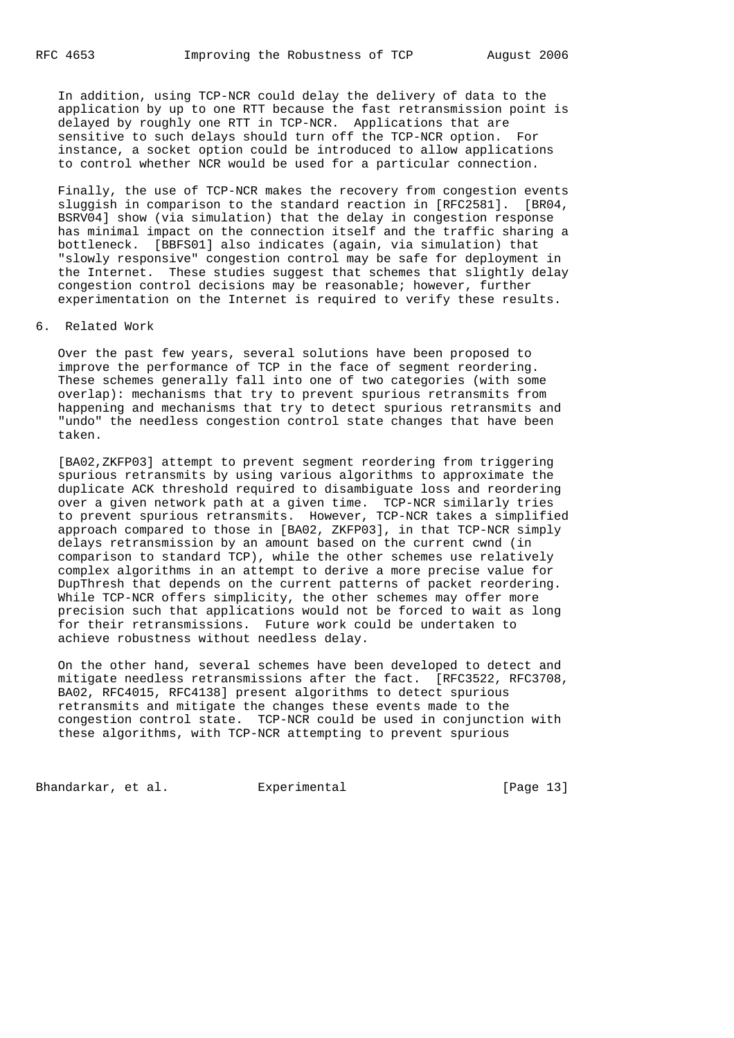In addition, using TCP-NCR could delay the delivery of data to the application by up to one RTT because the fast retransmission point is delayed by roughly one RTT in TCP-NCR. Applications that are sensitive to such delays should turn off the TCP-NCR option. For instance, a socket option could be introduced to allow applications to control whether NCR would be used for a particular connection.

 Finally, the use of TCP-NCR makes the recovery from congestion events sluggish in comparison to the standard reaction in [RFC2581]. [BR04, BSRV04] show (via simulation) that the delay in congestion response has minimal impact on the connection itself and the traffic sharing a bottleneck. [BBFS01] also indicates (again, via simulation) that "slowly responsive" congestion control may be safe for deployment in the Internet. These studies suggest that schemes that slightly delay congestion control decisions may be reasonable; however, further experimentation on the Internet is required to verify these results.

### 6. Related Work

 Over the past few years, several solutions have been proposed to improve the performance of TCP in the face of segment reordering. These schemes generally fall into one of two categories (with some overlap): mechanisms that try to prevent spurious retransmits from happening and mechanisms that try to detect spurious retransmits and "undo" the needless congestion control state changes that have been taken.

 [BA02,ZKFP03] attempt to prevent segment reordering from triggering spurious retransmits by using various algorithms to approximate the duplicate ACK threshold required to disambiguate loss and reordering over a given network path at a given time. TCP-NCR similarly tries to prevent spurious retransmits. However, TCP-NCR takes a simplified approach compared to those in [BA02, ZKFP03], in that TCP-NCR simply delays retransmission by an amount based on the current cwnd (in comparison to standard TCP), while the other schemes use relatively complex algorithms in an attempt to derive a more precise value for DupThresh that depends on the current patterns of packet reordering. While TCP-NCR offers simplicity, the other schemes may offer more precision such that applications would not be forced to wait as long for their retransmissions. Future work could be undertaken to achieve robustness without needless delay.

 On the other hand, several schemes have been developed to detect and mitigate needless retransmissions after the fact. [RFC3522, RFC3708, BA02, RFC4015, RFC4138] present algorithms to detect spurious retransmits and mitigate the changes these events made to the congestion control state. TCP-NCR could be used in conjunction with these algorithms, with TCP-NCR attempting to prevent spurious

Bhandarkar, et al. Experimental [Page 13]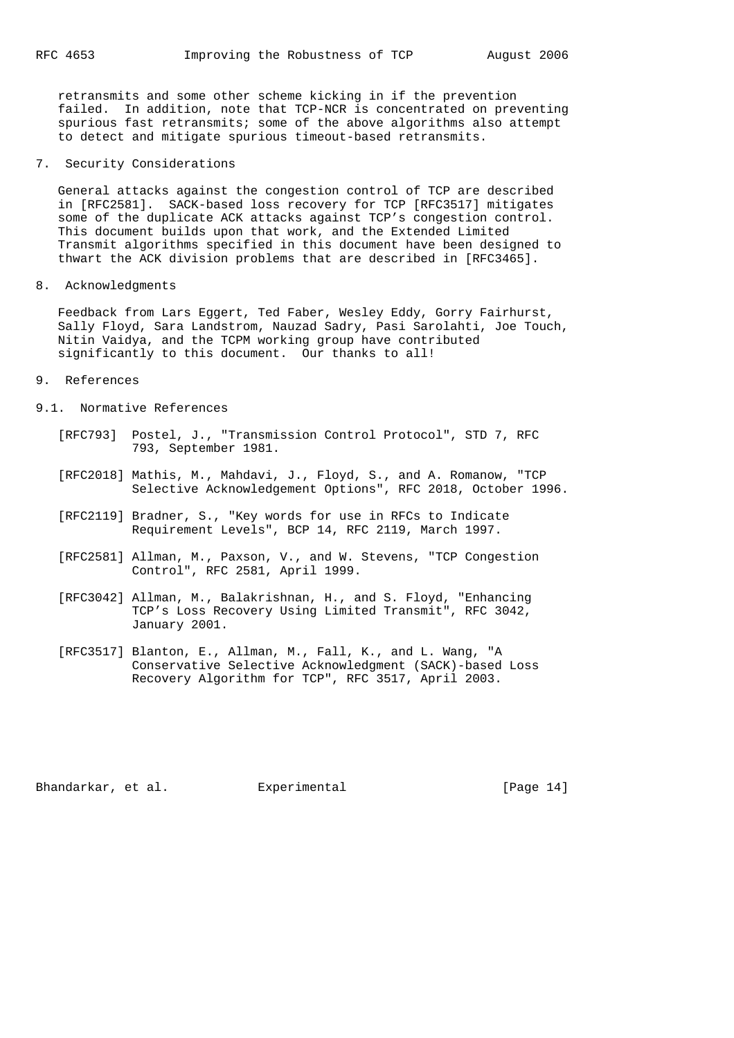retransmits and some other scheme kicking in if the prevention failed. In addition, note that TCP-NCR is concentrated on preventing spurious fast retransmits; some of the above algorithms also attempt to detect and mitigate spurious timeout-based retransmits.

### 7. Security Considerations

 General attacks against the congestion control of TCP are described in [RFC2581]. SACK-based loss recovery for TCP [RFC3517] mitigates some of the duplicate ACK attacks against TCP's congestion control. This document builds upon that work, and the Extended Limited Transmit algorithms specified in this document have been designed to thwart the ACK division problems that are described in [RFC3465].

8. Acknowledgments

 Feedback from Lars Eggert, Ted Faber, Wesley Eddy, Gorry Fairhurst, Sally Floyd, Sara Landstrom, Nauzad Sadry, Pasi Sarolahti, Joe Touch, Nitin Vaidya, and the TCPM working group have contributed significantly to this document. Our thanks to all!

- 9. References
- 9.1. Normative References
	- [RFC793] Postel, J., "Transmission Control Protocol", STD 7, RFC 793, September 1981.
	- [RFC2018] Mathis, M., Mahdavi, J., Floyd, S., and A. Romanow, "TCP Selective Acknowledgement Options", RFC 2018, October 1996.
	- [RFC2119] Bradner, S., "Key words for use in RFCs to Indicate Requirement Levels", BCP 14, RFC 2119, March 1997.
	- [RFC2581] Allman, M., Paxson, V., and W. Stevens, "TCP Congestion Control", RFC 2581, April 1999.
	- [RFC3042] Allman, M., Balakrishnan, H., and S. Floyd, "Enhancing TCP's Loss Recovery Using Limited Transmit", RFC 3042, January 2001.
	- [RFC3517] Blanton, E., Allman, M., Fall, K., and L. Wang, "A Conservative Selective Acknowledgment (SACK)-based Loss Recovery Algorithm for TCP", RFC 3517, April 2003.

Bhandarkar, et al. Experimental [Page 14]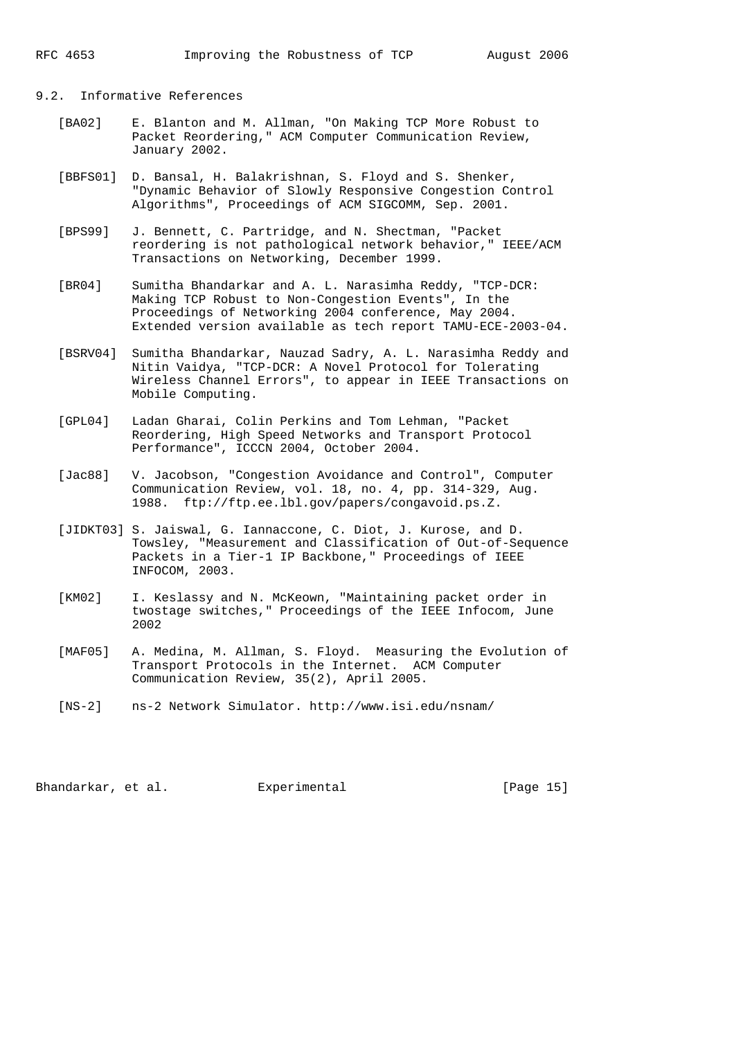## 9.2. Informative References

- [BA02] E. Blanton and M. Allman, "On Making TCP More Robust to Packet Reordering," ACM Computer Communication Review, January 2002.
- [BBFS01] D. Bansal, H. Balakrishnan, S. Floyd and S. Shenker, "Dynamic Behavior of Slowly Responsive Congestion Control Algorithms", Proceedings of ACM SIGCOMM, Sep. 2001.
- [BPS99] J. Bennett, C. Partridge, and N. Shectman, "Packet reordering is not pathological network behavior," IEEE/ACM Transactions on Networking, December 1999.
- [BR04] Sumitha Bhandarkar and A. L. Narasimha Reddy, "TCP-DCR: Making TCP Robust to Non-Congestion Events", In the Proceedings of Networking 2004 conference, May 2004. Extended version available as tech report TAMU-ECE-2003-04.
- [BSRV04] Sumitha Bhandarkar, Nauzad Sadry, A. L. Narasimha Reddy and Nitin Vaidya, "TCP-DCR: A Novel Protocol for Tolerating Wireless Channel Errors", to appear in IEEE Transactions on Mobile Computing.
- [GPL04] Ladan Gharai, Colin Perkins and Tom Lehman, "Packet Reordering, High Speed Networks and Transport Protocol Performance", ICCCN 2004, October 2004.
- [Jac88] V. Jacobson, "Congestion Avoidance and Control", Computer Communication Review, vol. 18, no. 4, pp. 314-329, Aug. 1988. ftp://ftp.ee.lbl.gov/papers/congavoid.ps.Z.
- [JIDKT03] S. Jaiswal, G. Iannaccone, C. Diot, J. Kurose, and D. Towsley, "Measurement and Classification of Out-of-Sequence Packets in a Tier-1 IP Backbone," Proceedings of IEEE INFOCOM, 2003.
- [KM02] I. Keslassy and N. McKeown, "Maintaining packet order in twostage switches," Proceedings of the IEEE Infocom, June 2002
- [MAF05] A. Medina, M. Allman, S. Floyd. Measuring the Evolution of Transport Protocols in the Internet. ACM Computer Communication Review, 35(2), April 2005.
- [NS-2] ns-2 Network Simulator. http://www.isi.edu/nsnam/

Bhandarkar, et al. Experimental [Page 15]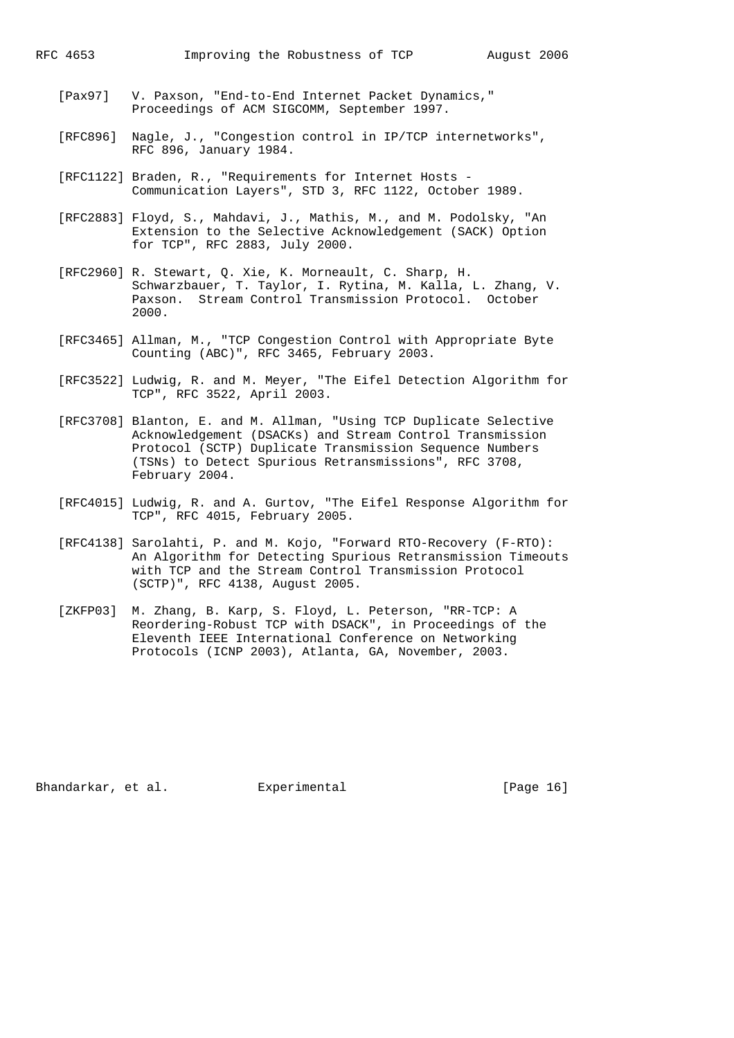- [Pax97] V. Paxson, "End-to-End Internet Packet Dynamics," Proceedings of ACM SIGCOMM, September 1997.
- [RFC896] Nagle, J., "Congestion control in IP/TCP internetworks", RFC 896, January 1984.
- [RFC1122] Braden, R., "Requirements for Internet Hosts Communication Layers", STD 3, RFC 1122, October 1989.
- [RFC2883] Floyd, S., Mahdavi, J., Mathis, M., and M. Podolsky, "An Extension to the Selective Acknowledgement (SACK) Option for TCP", RFC 2883, July 2000.
- [RFC2960] R. Stewart, Q. Xie, K. Morneault, C. Sharp, H. Schwarzbauer, T. Taylor, I. Rytina, M. Kalla, L. Zhang, V. Paxson. Stream Control Transmission Protocol. October 2000.
- [RFC3465] Allman, M., "TCP Congestion Control with Appropriate Byte Counting (ABC)", RFC 3465, February 2003.
- [RFC3522] Ludwig, R. and M. Meyer, "The Eifel Detection Algorithm for TCP", RFC 3522, April 2003.
- [RFC3708] Blanton, E. and M. Allman, "Using TCP Duplicate Selective Acknowledgement (DSACKs) and Stream Control Transmission Protocol (SCTP) Duplicate Transmission Sequence Numbers (TSNs) to Detect Spurious Retransmissions", RFC 3708, February 2004.
- [RFC4015] Ludwig, R. and A. Gurtov, "The Eifel Response Algorithm for TCP", RFC 4015, February 2005.
- [RFC4138] Sarolahti, P. and M. Kojo, "Forward RTO-Recovery (F-RTO): An Algorithm for Detecting Spurious Retransmission Timeouts with TCP and the Stream Control Transmission Protocol (SCTP)", RFC 4138, August 2005.
- [ZKFP03] M. Zhang, B. Karp, S. Floyd, L. Peterson, "RR-TCP: A Reordering-Robust TCP with DSACK", in Proceedings of the Eleventh IEEE International Conference on Networking Protocols (ICNP 2003), Atlanta, GA, November, 2003.

Bhandarkar, et al. Experimental [Page 16]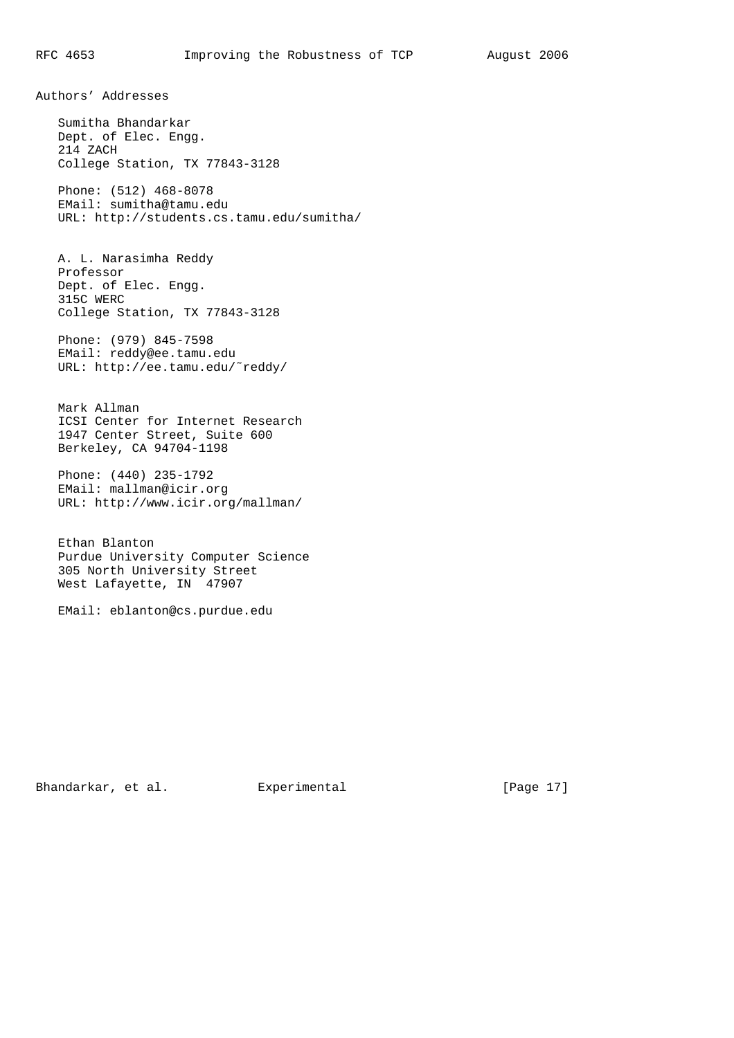Authors' Addresses

 Sumitha Bhandarkar Dept. of Elec. Engg. 214 ZACH College Station, TX 77843-3128

 Phone: (512) 468-8078 EMail: sumitha@tamu.edu URL: http://students.cs.tamu.edu/sumitha/

 A. L. Narasimha Reddy Professor Dept. of Elec. Engg. 315C WERC College Station, TX 77843-3128

 Phone: (979) 845-7598 EMail: reddy@ee.tamu.edu URL: http://ee.tamu.edu/˜reddy/

 Mark Allman ICSI Center for Internet Research 1947 Center Street, Suite 600 Berkeley, CA 94704-1198

 Phone: (440) 235-1792 EMail: mallman@icir.org URL: http://www.icir.org/mallman/

 Ethan Blanton Purdue University Computer Science 305 North University Street West Lafayette, IN 47907

EMail: eblanton@cs.purdue.edu

Bhandarkar, et al. Experimental [Page 17]